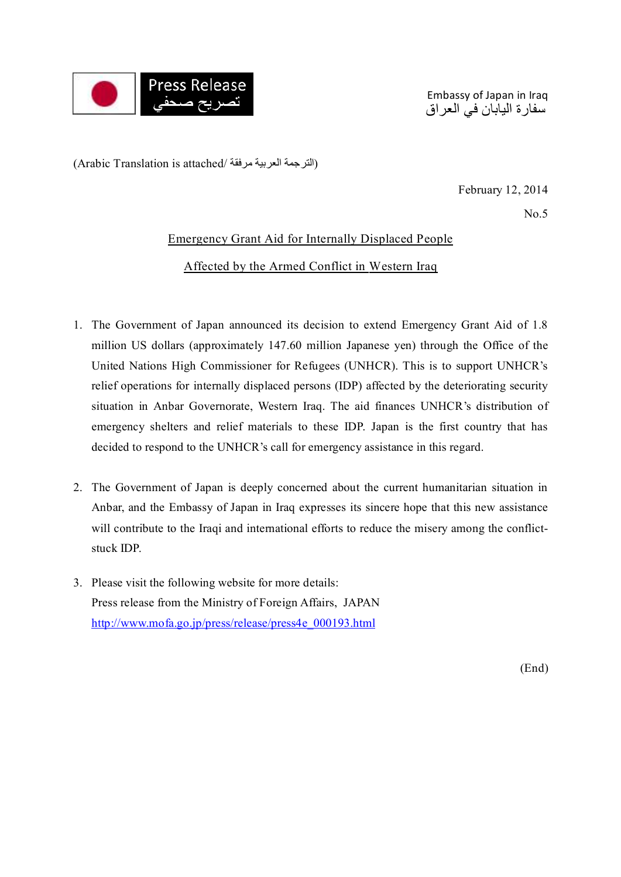

Embassy of Japan in Iraq سفارة اليابان في العراق

(الترجمة العربية مرفقة /Arabic Translation is attached)

February 12, 2014

 $No<sub>5</sub>$ 

## Emergency Grant Aid for Internally Displaced People

Affected by the Armed Conflict in Western Iraq

- 1. The Government of Japan announced its decision to extend Emergency Grant Aid of 1.8 million US dollars (approximately 147.60 million Japanese yen) through the Office of the United Nations High Commissioner for Refugees (UNHCR). This is to support UNHCR's relief operations for internally displaced persons (IDP) affected by the deteriorating security situation in Anbar Governorate, Western Iraq. The aid finances UNHCR's distribution of emergency shelters and relief materials to these IDP. Japan is the first country that has decided to respond to the UNHCR's call for emergency assistance in this regard.
- 2. The Government of Japan is deeply concerned about the current humanitarian situation in Anbar, and the Embassy of Japan in Iraq expresses its sincere hope that this new assistance will contribute to the Iraqi and international efforts to reduce the misery among the conflictstuck IDP.
- 3. Please visit the following website for more details: Press release from the Ministry of Foreign Affairs, JAPAN http://www.mofa.go.jp/press/release/press4e\_000193.html

(End)